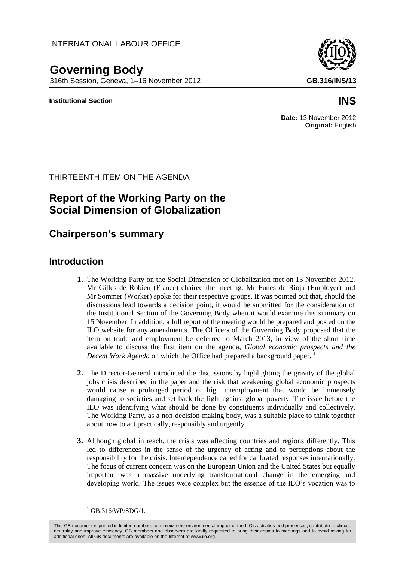### INTERNATIONAL LABOUR OFFICE

# **Governing Body**

316th Session, Geneva, 1–16 November 2012 **GB.316/INS/13**

#### **Institutional Section INS**

#### **Date:** 13 November 2012 **Original:** English

THIRTEENTH ITEM ON THE AGENDA

# **Report of the Working Party on the Social Dimension of Globalization**

# **Chairperson's summary**

#### **Introduction**

- **1.** The Working Party on the Social Dimension of Globalization met on 13 November 2012. Mr Gilles de Robien (France) chaired the meeting. Mr Funes de Rioja (Employer) and Mr Sommer (Worker) spoke for their respective groups. It was pointed out that, should the discussions lead towards a decision point, it would be submitted for the consideration of the Institutional Section of the Governing Body when it would examine this summary on 15 November. In addition, a full report of the meeting would be prepared and posted on the ILO website for any amendments. The Officers of the Governing Body proposed that the item on trade and employment be deferred to March 2013, in view of the short time available to discuss the first item on the agenda, *Global economic prospects and the Decent Work Agenda* on which the Office had prepared a background paper.<sup>1</sup>
- **2.** The Director-General introduced the discussions by highlighting the gravity of the global jobs crisis described in the paper and the risk that weakening global economic prospects would cause a prolonged period of high unemployment that would be immensely damaging to societies and set back the fight against global poverty. The issue before the ILO was identifying what should be done by constituents individually and collectively. The Working Party, as a non-decision-making body, was a suitable place to think together about how to act practically, responsibly and urgently.
- **3.** Although global in reach, the crisis was affecting countries and regions differently. This led to differences in the sense of the urgency of acting and to perceptions about the responsibility for the crisis. Interdependence called for calibrated responses internationally. The focus of current concern was on the European Union and the United States but equally important was a massive underlying transformational change in the emerging and developing world. The issues were complex but the essence of the ILO's vocation was to

 $1$  GB.316/WP/SDG/1.

This GB document is printed in limited numbers to minimize the environmental impact of the ILO's activities and processes, contribute to climate neutrality and improve efficiency. GB members and observers are kindly requested to bring their copies to meetings and to avoid asking for additional ones. All GB documents are available on the Internet at www.ilo.org.

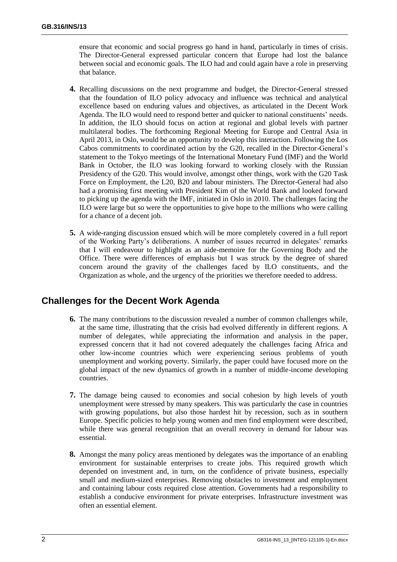ensure that economic and social progress go hand in hand, particularly in times of crisis. The Director-General expressed particular concern that Europe had lost the balance between social and economic goals. The ILO had and could again have a role in preserving that balance.

- **4.** Recalling discussions on the next programme and budget, the Director-General stressed that the foundation of ILO policy advocacy and influence was technical and analytical excellence based on enduring values and objectives, as articulated in the Decent Work Agenda. The ILO would need to respond better and quicker to national constituents' needs. In addition, the ILO should focus on action at regional and global levels with partner multilateral bodies. The forthcoming Regional Meeting for Europe and Central Asia in April 2013, in Oslo, would be an opportunity to develop this interaction. Following the Los Cabos commitments to coordinated action by the G20, recalled in the Director-General's statement to the Tokyo meetings of the International Monetary Fund (IMF) and the World Bank in October, the ILO was looking forward to working closely with the Russian Presidency of the G20. This would involve, amongst other things, work with the G20 Task Force on Employment, the L20, B20 and labour ministers. The Director-General had also had a promising first meeting with President Kim of the World Bank and looked forward to picking up the agenda with the IMF, initiated in Oslo in 2010. The challenges facing the ILO were large but so were the opportunities to give hope to the millions who were calling for a chance of a decent job.
- **5.** A wide-ranging discussion ensued which will be more completely covered in a full report of the Working Party's deliberations. A number of issues recurred in delegates' remarks that I will endeavour to highlight as an aide-memoire for the Governing Body and the Office. There were differences of emphasis but I was struck by the degree of shared concern around the gravity of the challenges faced by ILO constituents, and the Organization as whole, and the urgency of the priorities we therefore needed to address.

# **Challenges for the Decent Work Agenda**

- **6.** The many contributions to the discussion revealed a number of common challenges while, at the same time, illustrating that the crisis had evolved differently in different regions. A number of delegates, while appreciating the information and analysis in the paper, expressed concern that it had not covered adequately the challenges facing Africa and other low-income countries which were experiencing serious problems of youth unemployment and working poverty. Similarly, the paper could have focused more on the global impact of the new dynamics of growth in a number of middle-income developing countries.
- **7.** The damage being caused to economies and social cohesion by high levels of youth unemployment were stressed by many speakers. This was particularly the case in countries with growing populations, but also those hardest hit by recession, such as in southern Europe. Specific policies to help young women and men find employment were described, while there was general recognition that an overall recovery in demand for labour was essential.
- **8.** Amongst the many policy areas mentioned by delegates was the importance of an enabling environment for sustainable enterprises to create jobs. This required growth which depended on investment and, in turn, on the confidence of private business, especially small and medium-sized enterprises. Removing obstacles to investment and employment and containing labour costs required close attention. Governments had a responsibility to establish a conducive environment for private enterprises. Infrastructure investment was often an essential element.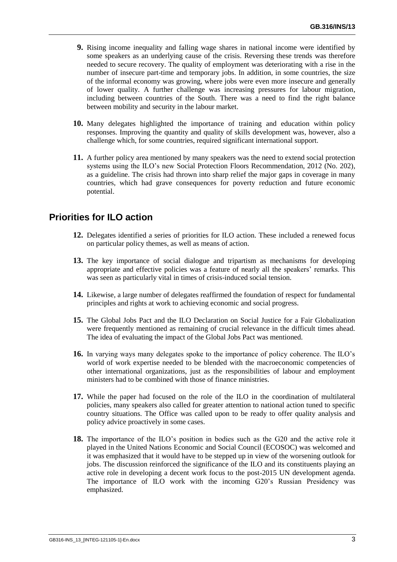- **9.** Rising income inequality and falling wage shares in national income were identified by some speakers as an underlying cause of the crisis. Reversing these trends was therefore needed to secure recovery. The quality of employment was deteriorating with a rise in the number of insecure part-time and temporary jobs. In addition, in some countries, the size of the informal economy was growing, where jobs were even more insecure and generally of lower quality. A further challenge was increasing pressures for labour migration, including between countries of the South. There was a need to find the right balance between mobility and security in the labour market.
- **10.** Many delegates highlighted the importance of training and education within policy responses. Improving the quantity and quality of skills development was, however, also a challenge which, for some countries, required significant international support.
- **11.** A further policy area mentioned by many speakers was the need to extend social protection systems using the ILO's new Social Protection Floors Recommendation, 2012 (No. 202), as a guideline. The crisis had thrown into sharp relief the major gaps in coverage in many countries, which had grave consequences for poverty reduction and future economic potential.

# **Priorities for ILO action**

- **12.** Delegates identified a series of priorities for ILO action. These included a renewed focus on particular policy themes, as well as means of action.
- **13.** The key importance of social dialogue and tripartism as mechanisms for developing appropriate and effective policies was a feature of nearly all the speakers' remarks.This was seen as particularly vital in times of crisis-induced social tension.
- **14.** Likewise, a large number of delegates reaffirmed the foundation of respect for fundamental principles and rights at work to achieving economic and social progress.
- **15.** The Global Jobs Pact and the ILO Declaration on Social Justice for a Fair Globalization were frequently mentioned as remaining of crucial relevance in the difficult times ahead. The idea of evaluating the impact of the Global Jobs Pact was mentioned.
- **16.** In varying ways many delegates spoke to the importance of policy coherence. The ILO's world of work expertise needed to be blended with the macroeconomic competencies of other international organizations, just as the responsibilities of labour and employment ministers had to be combined with those of finance ministries.
- **17.** While the paper had focused on the role of the ILO in the coordination of multilateral policies, many speakers also called for greater attention to national action tuned to specific country situations. The Office was called upon to be ready to offer quality analysis and policy advice proactively in some cases.
- **18.** The importance of the ILO's position in bodies such as the G20 and the active role it played in the United Nations Economic and Social Council (ECOSOC) was welcomed and it was emphasized that it would have to be stepped up in view of the worsening outlook for jobs. The discussion reinforced the significance of the ILO and its constituents playing an active role in developing a decent work focus to the post-2015 UN development agenda. The importance of ILO work with the incoming G20's Russian Presidency was emphasized.